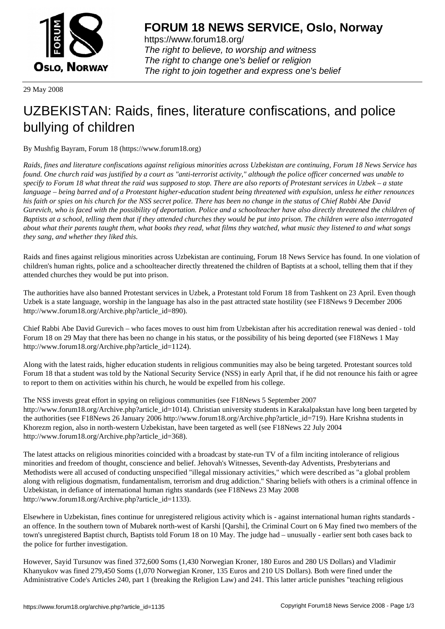

https://www.forum18.org/ The right to believe, to worship and witness The right to change one's belief or religion [The right to join together a](https://www.forum18.org/)nd express one's belief

29 May 2008

## [UZBEKISTAN:](https://www.forum18.org) Raids, fines, literature confiscations, and police bullying of children

By Mushfig Bayram, Forum 18 (https://www.forum18.org)

*Raids, fines and literature confiscations against religious minorities across Uzbekistan are continuing, Forum 18 News Service has found. One church raid was justified by a court as "anti-terrorist activity," although the police officer concerned was unable to specify to Forum 18 what threat the raid was supposed to stop. There are also reports of Protestant services in Uzbek – a state language – being barred and of a Protestant higher-education student being threatened with expulsion, unless he either renounces his faith or spies on his church for the NSS secret police. There has been no change in the status of Chief Rabbi Abe David Gurevich, who is faced with the possibility of deportation. Police and a schoolteacher have also directly threatened the children of Baptists at a school, telling them that if they attended churches they would be put into prison. The children were also interrogated about what their parents taught them, what books they read, what films they watched, what music they listened to and what songs they sang, and whether they liked this.*

Raids and fines against religious minorities across Uzbekistan are continuing, Forum 18 News Service has found. In one violation of children's human rights, police and a schoolteacher directly threatened the children of Baptists at a school, telling them that if they attended churches they would be put into prison.

The authorities have also banned Protestant services in Uzbek, a Protestant told Forum 18 from Tashkent on 23 April. Even though Uzbek is a state language, worship in the language has also in the past attracted state hostility (see F18News 9 December 2006 http://www.forum18.org/Archive.php?article\_id=890).

Chief Rabbi Abe David Gurevich – who faces moves to oust him from Uzbekistan after his accreditation renewal was denied - told Forum 18 on 29 May that there has been no change in his status, or the possibility of his being deported (see F18News 1 May http://www.forum18.org/Archive.php?article\_id=1124).

Along with the latest raids, higher education students in religious communities may also be being targeted. Protestant sources told Forum 18 that a student was told by the National Security Service (NSS) in early April that, if he did not renounce his faith or agree to report to them on activities within his church, he would be expelled from his college.

The NSS invests great effort in spying on religious communities (see F18News 5 September 2007 http://www.forum18.org/Archive.php?article\_id=1014). Christian university students in Karakalpakstan have long been targeted by the authorities (see F18News 26 January 2006 http://www.forum18.org/Archive.php?article\_id=719). Hare Krishna students in Khorezm region, also in north-western Uzbekistan, have been targeted as well (see F18News 22 July 2004 http://www.forum18.org/Archive.php?article\_id=368).

The latest attacks on religious minorities coincided with a broadcast by state-run TV of a film inciting intolerance of religious minorities and freedom of thought, conscience and belief. Jehovah's Witnesses, Seventh-day Adventists, Presbyterians and Methodists were all accused of conducting unspecified "illegal missionary activities," which were described as "a global problem along with religious dogmatism, fundamentalism, terrorism and drug addiction." Sharing beliefs with others is a criminal offence in Uzbekistan, in defiance of international human rights standards (see F18News 23 May 2008 http://www.forum18.org/Archive.php?article\_id=1133).

Elsewhere in Uzbekistan, fines continue for unregistered religious activity which is - against international human rights standards an offence. In the southern town of Mubarek north-west of Karshi [Qarshi], the Criminal Court on 6 May fined two members of the town's unregistered Baptist church, Baptists told Forum 18 on 10 May. The judge had – unusually - earlier sent both cases back to the police for further investigation.

However, Sayid Tursunov was fined 372,600 Soms (1,430 Norwegian Kroner, 180 Euros and 280 US Dollars) and Vladimir Khanyukov was fined 279,450 Soms (1,070 Norwegian Kroner, 135 Euros and 210 US Dollars). Both were fined under the Administrative Code's Articles 240, part 1 (breaking the Religion Law) and 241. This latter article punishes "teaching religious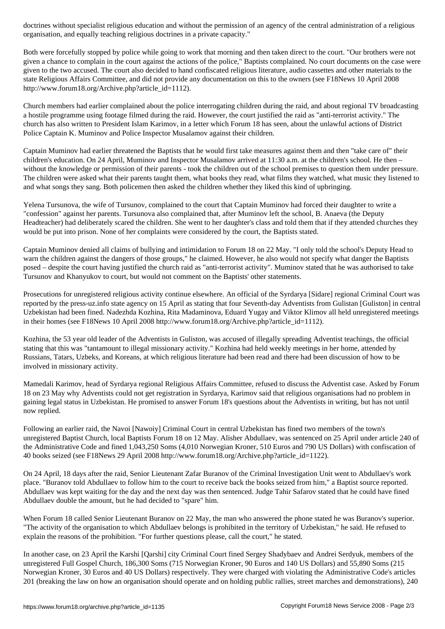organisation, and equally teaching religious doctrines in a private capacity."

Both were forcefully stopped by police while going to work that morning and then taken direct to the court. "Our brothers were not given a chance to complain in the court against the actions of the police," Baptists complained. No court documents on the case were given to the two accused. The court also decided to hand confiscated religious literature, audio cassettes and other materials to the state Religious Affairs Committee, and did not provide any documentation on this to the owners (see F18News 10 April 2008 http://www.forum18.org/Archive.php?article\_id=1112).

Church members had earlier complained about the police interrogating children during the raid, and about regional TV broadcasting a hostile programme using footage filmed during the raid. However, the court justified the raid as "anti-terrorist activity." The church has also written to President Islam Karimov, in a letter which Forum 18 has seen, about the unlawful actions of District Police Captain K. Muminov and Police Inspector Musalamov against their children.

Captain Muminov had earlier threatened the Baptists that he would first take measures against them and then "take care of" their children's education. On 24 April, Muminov and Inspector Musalamov arrived at 11:30 a.m. at the children's school. He then – without the knowledge or permission of their parents - took the children out of the school premises to question them under pressure. The children were asked what their parents taught them, what books they read, what films they watched, what music they listened to and what songs they sang. Both policemen then asked the children whether they liked this kind of upbringing.

Yelena Tursunova, the wife of Tursunov, complained to the court that Captain Muminov had forced their daughter to write a "confession" against her parents. Tursunova also complained that, after Muminov left the school, B. Anaeva (the Deputy Headteacher) had deliberately scared the children. She went to her daughter's class and told them that if they attended churches they would be put into prison. None of her complaints were considered by the court, the Baptists stated.

Captain Muminov denied all claims of bullying and intimidation to Forum 18 on 22 May. "I only told the school's Deputy Head to warn the children against the dangers of those groups," he claimed. However, he also would not specify what danger the Baptists posed – despite the court having justified the church raid as "anti-terrorist activity". Muminov stated that he was authorised to take Tursunov and Khanyukov to court, but would not comment on the Baptists' other statements.

Prosecutions for unregistered religious activity continue elsewhere. An official of the Syrdarya [Sidare] regional Criminal Court was reported by the press-uz.info state agency on 15 April as stating that four Seventh-day Adventists from Gulistan [Guliston] in central Uzbekistan had been fined. Nadezhda Kozhina, Rita Madaminova, Eduard Yugay and Viktor Klimov all held unregistered meetings in their homes (see F18News 10 April 2008 http://www.forum18.org/Archive.php?article\_id=1112).

Kozhina, the 53 year old leader of the Adventists in Guliston, was accused of illegally spreading Adventist teachings, the official stating that this was "tantamount to illegal missionary activity." Kozhina had held weekly meetings in her home, attended by Russians, Tatars, Uzbeks, and Koreans, at which religious literature had been read and there had been discussion of how to be involved in missionary activity.

Mamedali Karimov, head of Syrdarya regional Religious Affairs Committee, refused to discuss the Adventist case. Asked by Forum 18 on 23 May why Adventists could not get registration in Syrdarya, Karimov said that religious organisations had no problem in gaining legal status in Uzbekistan. He promised to answer Forum 18's questions about the Adventists in writing, but has not until now replied.

Following an earlier raid, the Navoi [Nawoiy] Criminal Court in central Uzbekistan has fined two members of the town's unregistered Baptist Church, local Baptists Forum 18 on 12 May. Alisher Abdullaev, was sentenced on 25 April under article 240 of the Administrative Code and fined 1,043,250 Soms (4,010 Norwegian Kroner, 510 Euros and 790 US Dollars) with confiscation of 40 books seized (see F18News 29 April 2008 http://www.forum18.org/Archive.php?article\_id=1122).

On 24 April, 18 days after the raid, Senior Lieutenant Zafar Buranov of the Criminal Investigation Unit went to Abdullaev's work place. "Buranov told Abdullaev to follow him to the court to receive back the books seized from him," a Baptist source reported. Abdullaev was kept waiting for the day and the next day was then sentenced. Judge Tahir Safarov stated that he could have fined Abdullaev double the amount, but he had decided to "spare" him.

When Forum 18 called Senior Lieutenant Buranov on 22 May, the man who answered the phone stated he was Buranov's superior. "The activity of the organisation to which Abdullaev belongs is prohibited in the territory of Uzbekistan," he said. He refused to explain the reasons of the prohibition. "For further questions please, call the court," he stated.

In another case, on 23 April the Karshi [Qarshi] city Criminal Court fined Sergey Shadybaev and Andrei Serdyuk, members of the unregistered Full Gospel Church, 186,300 Soms (715 Norwegian Kroner, 90 Euros and 140 US Dollars) and 55,890 Soms (215 Norwegian Kroner, 30 Euros and 40 US Dollars) respectively. They were charged with violating the Administrative Code's articles 201 (breaking the law on how an organisation should operate and on holding public rallies, street marches and demonstrations), 240